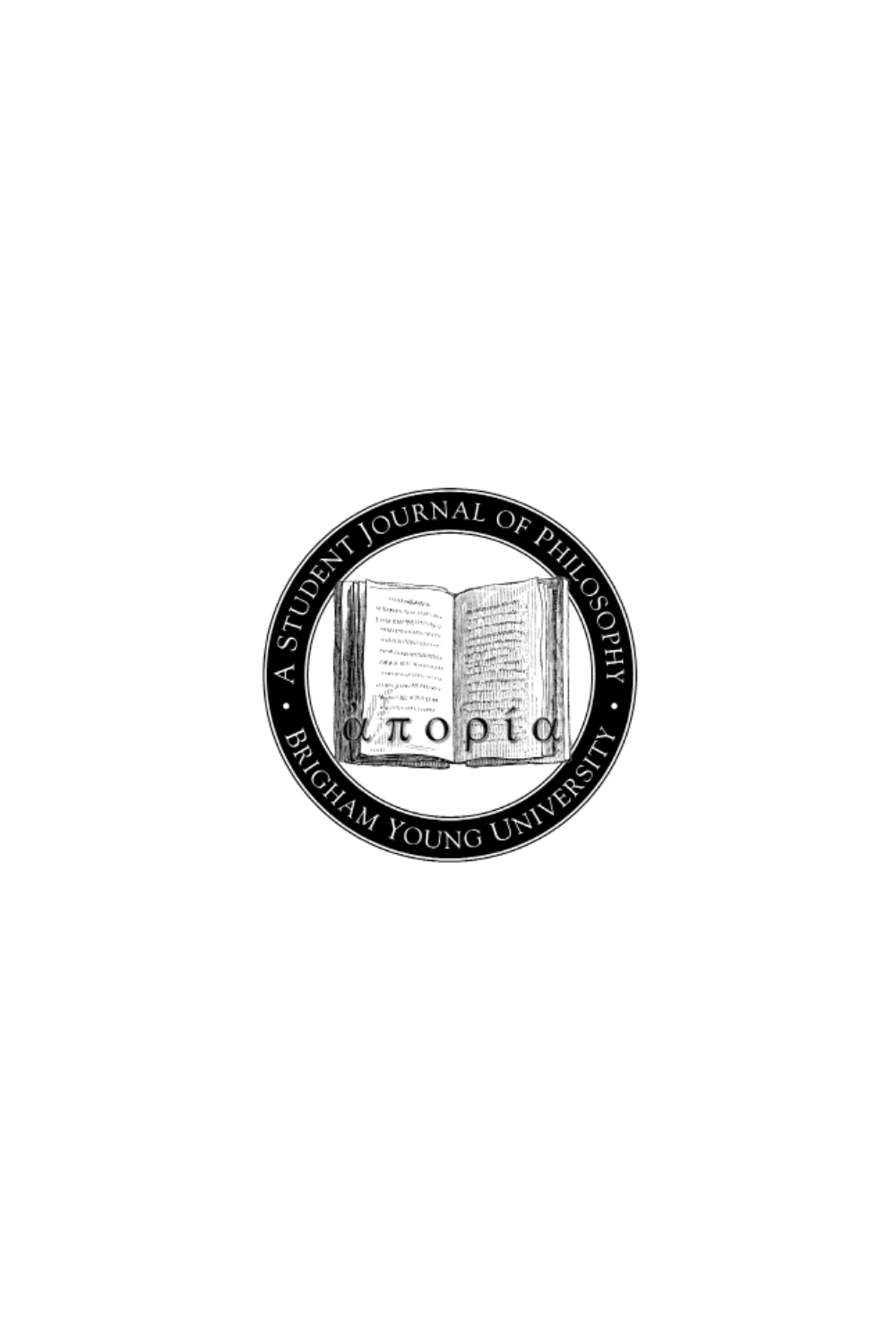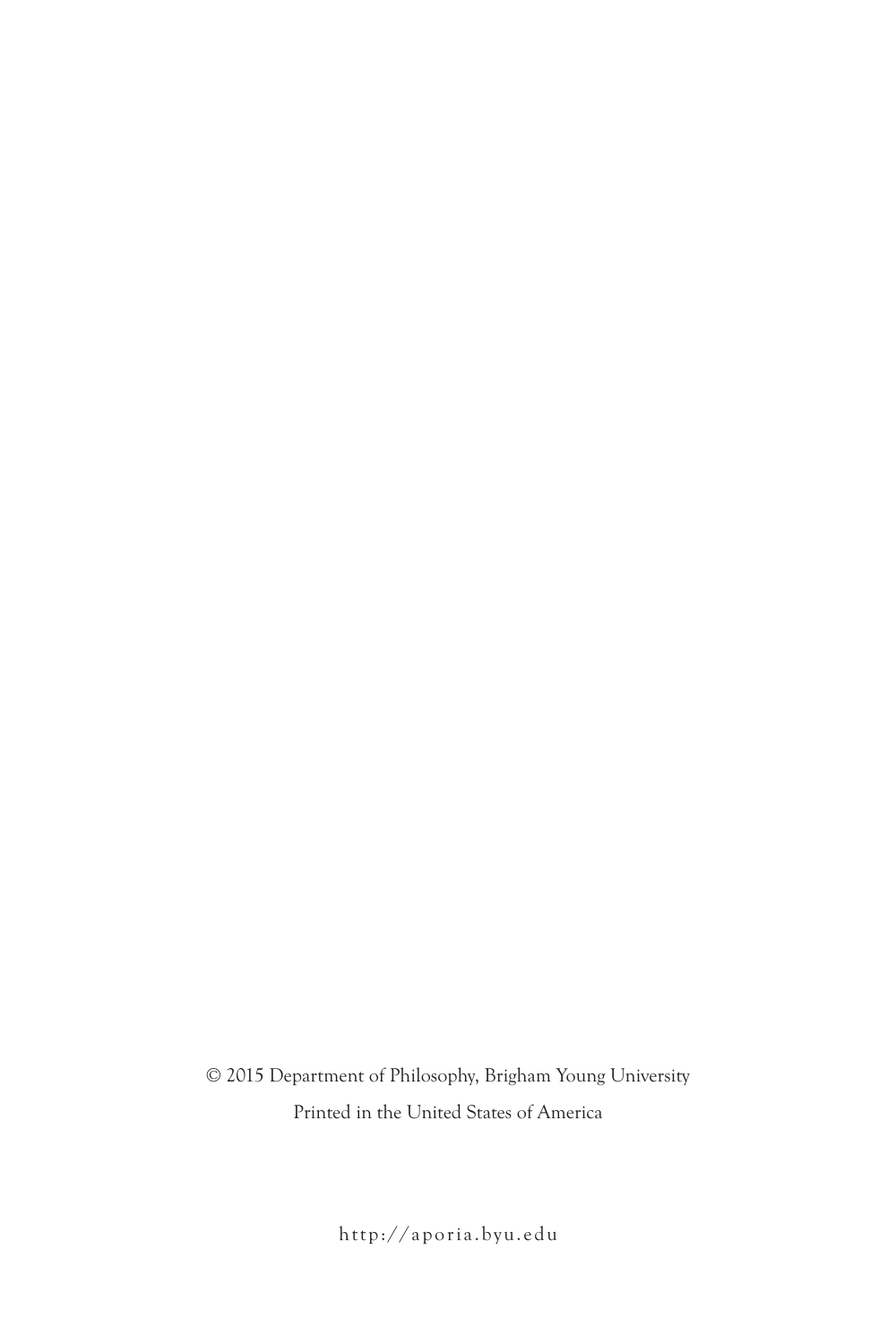© 2015 Department of Philosophy, Brigham Young University Printed in the United States of America

http://aporia.byu.edu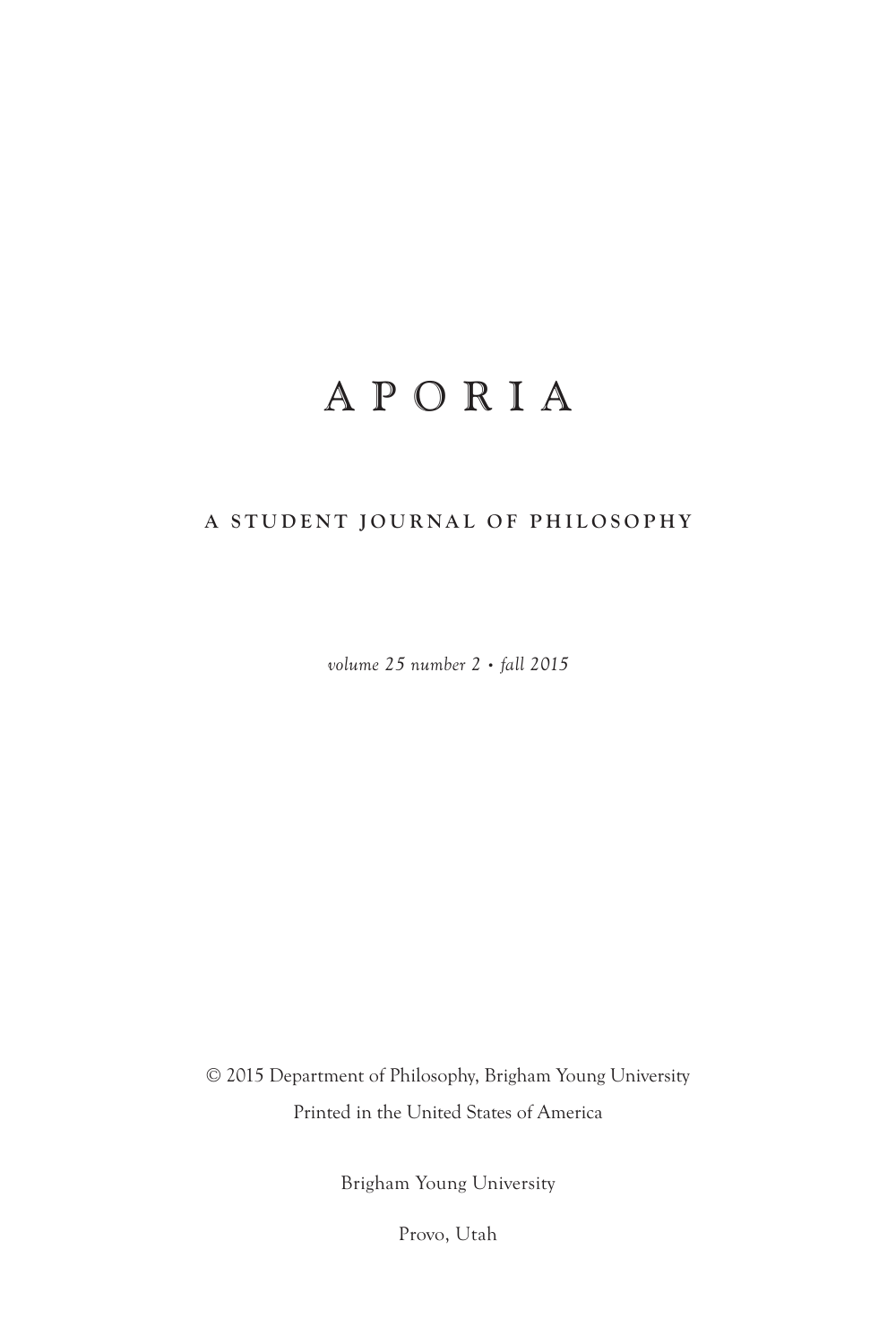## APORIA

#### **A STUDENT JOURNAL OF PHILOSOPHY**

*volume 25 number 2 • fall 2015*

© 2015 Department of Philosophy, Brigham Young University Printed in the United States of America

Brigham Young University

Provo, Utah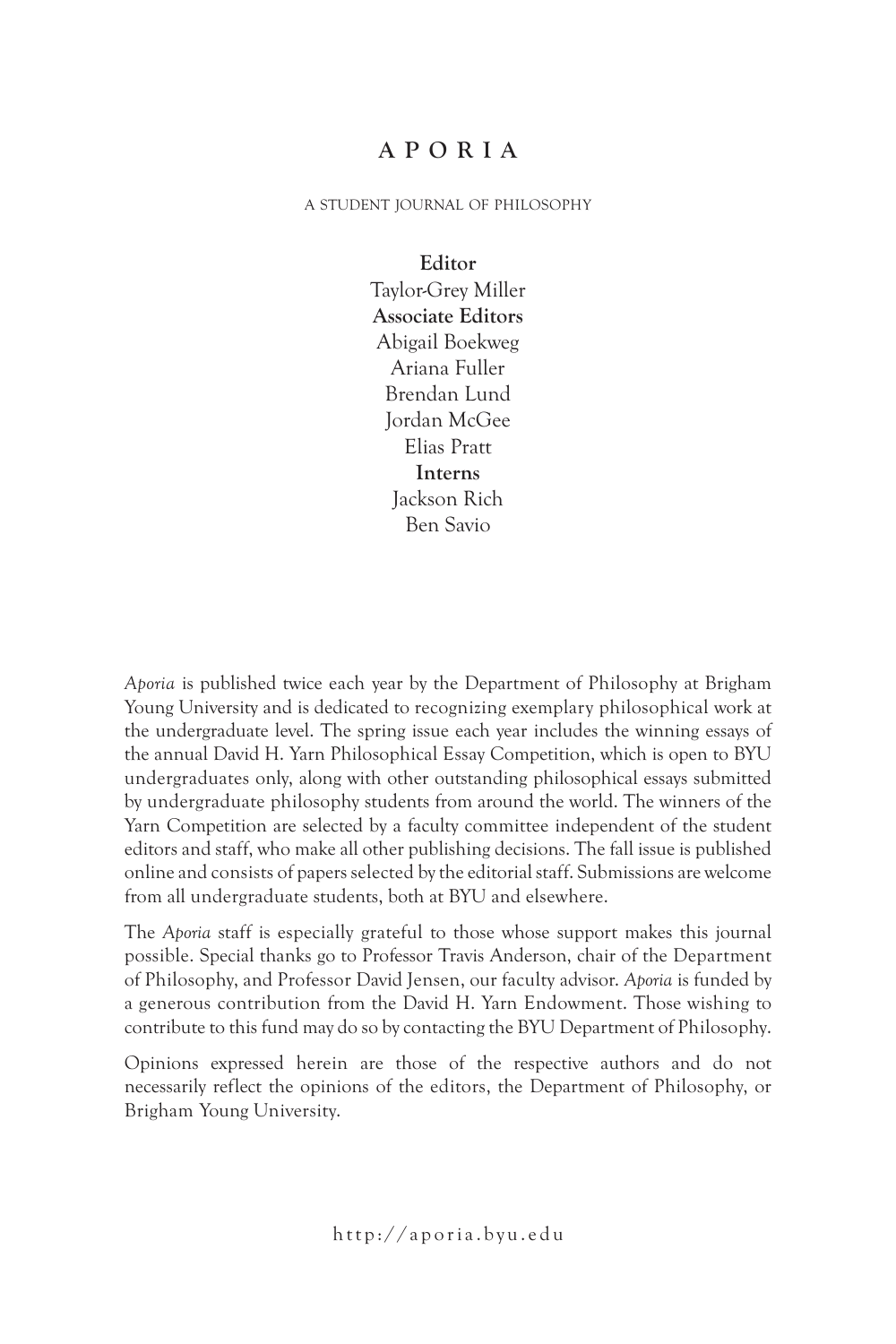#### **APORIA**

a student journal of philosophy

**Editor** Taylor-Grey Miller **Associate Editors** Abigail Boekweg Ariana Fuller Brendan Lund Jordan McGee Elias Pratt **Interns** Jackson Rich Ben Savio

*Aporia* is published twice each year by the Department of Philosophy at Brigham Young University and is dedicated to recognizing exemplary philosophical work at the undergraduate level. The spring issue each year includes the winning essays of the annual David H. Yarn Philosophical Essay Competition, which is open to BYU undergraduates only, along with other outstanding philosophical essays submitted by undergraduate philosophy students from around the world. The winners of the Yarn Competition are selected by a faculty committee independent of the student editors and staff, who make all other publishing decisions. The fall issue is published online and consists of papers selected by the editorial staff. Submissions are welcome from all undergraduate students, both at BYU and elsewhere.

The *Aporia* staff is especially grateful to those whose support makes this journal possible. Special thanks go to Professor Travis Anderson, chair of the Department of Philosophy, and Professor David Jensen, our faculty advisor. *Aporia* is funded by a generous contribution from the David H. Yarn Endowment. Those wishing to contribute to this fund may do so by contacting the BYU Department of Philosophy.

Opinions expressed herein are those of the respective authors and do not necessarily reflect the opinions of the editors, the Department of Philosophy, or Brigham Young University.